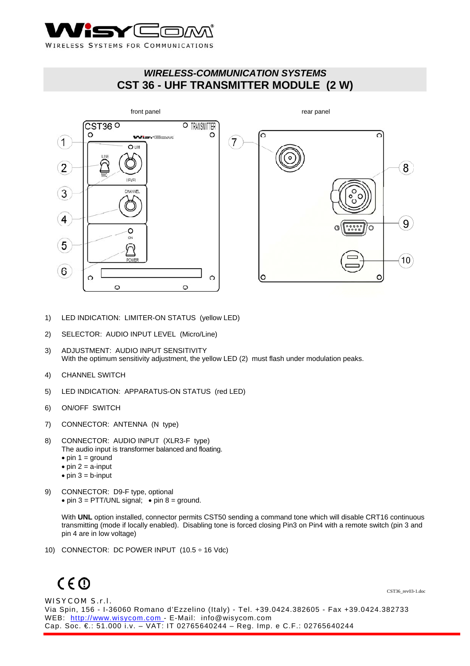

## *WIRELESS-COMMUNICATION SYSTEMS*  **CST 36 - UHF TRANSMITTER MODULE (2 W)**



- 1) LED INDICATION: LIMITER-ON STATUS (yellow LED)
- 2) SELECTOR: AUDIO INPUT LEVEL (Micro/Line)
- 3) ADJUSTMENT: AUDIO INPUT SENSITIVITY With the optimum sensitivity adjustment, the yellow LED (2) must flash under modulation peaks.
- 4) CHANNEL SWITCH
- 5) LED INDICATION: APPARATUS-ON STATUS (red LED)
- 6) ON/OFF SWITCH
- 7) CONNECTOR: ANTENNA (N type)
- 8) CONNECTOR: AUDIO INPUT (XLR3-F type) The audio input is transformer balanced and floating.
	- $\bullet$  pin 1 = ground
	- $\bullet$  pin 2 = a-input
	- $\bullet$  pin  $3 = b$ -input
- 9) CONNECTOR: D9-F type, optional • pin  $3 = \text{PTT/UNL}$  signal; • pin  $8 =$  ground.

With **UNL** option installed, connector permits CST50 sending a command tone which will disable CRT16 continuous transmitting (mode if locally enabled). Disabling tone is forced closing Pin3 on Pin4 with a remote switch (pin 3 and pin 4 are in low voltage)

10) CONNECTOR: DC POWER INPUT (10.5 ÷ 16 Vdc)

# $C \in \mathbb{O}$

WISYCOM S.r.l. Via Spin, 156 - I-36060 Romano d'Ezzelino (Italy) - Tel. +39.0424.382605 - Fax +39.0424.382733 WEB: http://www.wisycom.com - E-Mail: info@wisycom.com Cap. Soc. €.: 51.000 i.v. – VAT: IT 02765640244 – Reg. Imp. e C.F.: 02765640244

CST36\_rev03-1.doc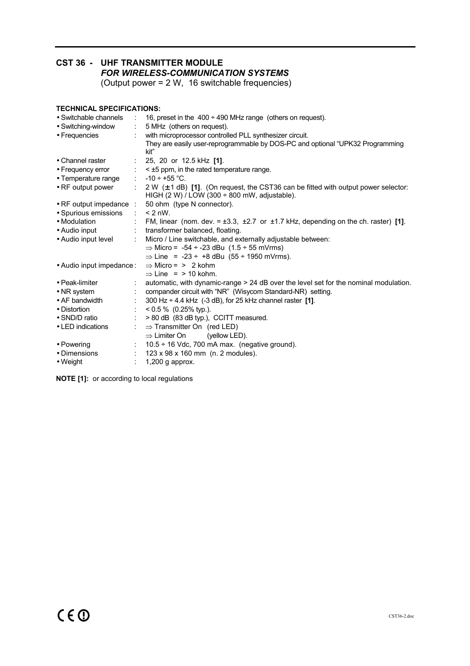## **CST 36 - UHF TRANSMITTER MODULE**   *FOR WIRELESS-COMMUNICATION SYSTEMS*

(Output power = 2 W, 16 switchable frequencies)

### **TECHNICAL SPECIFICATIONS:**

| • Switchable channels           | ÷.                           | 16, preset in the $400 \div 490$ MHz range (others on request).                                                                                                |
|---------------------------------|------------------------------|----------------------------------------------------------------------------------------------------------------------------------------------------------------|
| • Switching-window              | $\mathcal{L}_{\rm{max}}$     | 5 MHz (others on request).                                                                                                                                     |
| • Frequencies                   |                              | with microprocessor controlled PLL synthesizer circuit.                                                                                                        |
|                                 |                              | They are easily user-reprogrammable by DOS-PC and optional "UPK32 Programming<br>kit"                                                                          |
| • Channel raster                |                              | : 25, 20 or 12.5 kHz $[1]$ .                                                                                                                                   |
| • Frequency error               |                              | $\div$ < $\pm$ 5 ppm, in the rated temperature range.                                                                                                          |
| • Temperature range             | $\sim$                       | $-10 \div +55$ °C.                                                                                                                                             |
| • RF output power               |                              | $\pm$ 2 W ( $\pm$ 1 dB) [1]. (On request, the CST36 can be fitted with output power selector:<br>HIGH $(2 W)$ / LOW $(300 \div 800 \text{ mW})$ , adjustable). |
| $\bullet$ RF output impedance : |                              | 50 ohm (type N connector).                                                                                                                                     |
| • Spurious emissions            | $\mathcal{L}$                | $< 2$ nW.                                                                                                                                                      |
| • Modulation                    |                              | FM, linear (nom. dev. = $\pm 3.3$ , $\pm 2.7$ or $\pm 1.7$ kHz, depending on the ch. raster) [1].                                                              |
| • Audio input                   |                              | : transformer balanced, floating.                                                                                                                              |
| • Audio input level             |                              | Micro / Line switchable, and externally adjustable between:                                                                                                    |
|                                 |                              | $\Rightarrow$ Micro = -54 ÷ -23 dBu (1.5 ÷ 55 mVrms)                                                                                                           |
|                                 |                              | $\Rightarrow$ Line = -23 ÷ +8 dBu (55 ÷ 1950 mVrms).                                                                                                           |
| • Audio input impedance:        |                              | $\Rightarrow$ Micro = > 2 kohm                                                                                                                                 |
|                                 |                              | $\Rightarrow$ Line = > 10 kohm.                                                                                                                                |
| • Peak-limiter                  |                              | automatic, with dynamic-range > 24 dB over the level set for the nominal modulation.                                                                           |
| • NR system                     |                              | compander circuit with "NR" (Wisycom Standard-NR) setting.                                                                                                     |
| $\bullet$ AF bandwidth          |                              | 300 Hz $\div$ 4.4 kHz (-3 dB), for 25 kHz channel raster [1].                                                                                                  |
| • Distortion                    | $\mathcal{L}_{\mathrm{max}}$ | $0.5\%$ (0.25% typ.).                                                                                                                                          |
| • SND/D ratio                   |                              | > 80 dB (83 dB typ.), CCITT measured.                                                                                                                          |
| • LED indications               |                              | $\Rightarrow$ Transmitter On (red LED)<br>$\Rightarrow$ Limiter On<br>(yellow LED).                                                                            |
| • Powering                      |                              | $\pm$ 10.5 ÷ 16 Vdc, 700 mA max. (negative ground).                                                                                                            |
| • Dimensions                    |                              | : $123 \times 98 \times 160$ mm (n. 2 modules).                                                                                                                |
| $\bullet$ Weight                |                              | $1,200$ g approx.                                                                                                                                              |

**NOTE [1]:** or according to local regulations